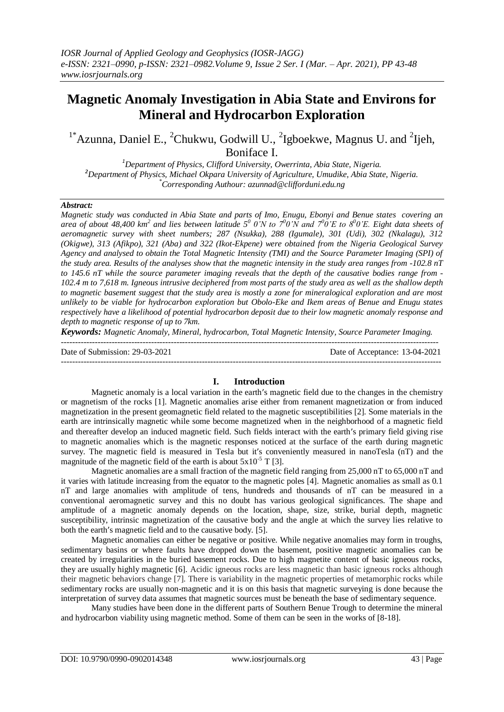# **Magnetic Anomaly Investigation in Abia State and Environs for Mineral and Hydrocarbon Exploration**

<sup>1\*</sup>Azunna, Daniel E., <sup>2</sup>Chukwu, Godwill U., <sup>2</sup>Igboekwe, Magnus U. and <sup>2</sup>Ijeh, Boniface I.

*<sup>1</sup>Department of Physics, Clifford University, Owerrinta, Abia State, Nigeria. <sup>2</sup>Department of Physics, Michael Okpara University of Agriculture, Umudike, Abia State, Nigeria. \*Corresponding Authour: azunnad@clifforduni.edu.ng*

#### *Abstract:*

*Magnetic study was conducted in Abia State and parts of Imo, Enugu, Ebonyi and Benue states covering an*  area of about 48,400 km<sup>2</sup> and lies between latitude  $5^0$  0'N to  $7^00$ 'N and  $7^00'E$  to  $8^00'E$ . Eight data sheets of *aeromagnetic survey with sheet numbers; 287 (Nsukka), 288 (Igumale), 301 (Udi), 302 (Nkalagu), 312 (Okigwe), 313 (Afikpo), 321 (Aba) and 322 (Ikot-Ekpene) were obtained from the Nigeria Geological Survey Agency and analysed to obtain the Total Magnetic Intensity (TMI) and the Source Parameter Imaging (SPI) of the study area. Results of the analyses show that the magnetic intensity in the study area ranges from -102.8 nT to 145.6 nT while the source parameter imaging reveals that the depth of the causative bodies range from - 102.4 m to 7,618 m. Igneous intrusive deciphered from most parts of the study area as well as the shallow depth to magnetic basement suggest that the study area is mostly a zone for mineralogical exploration and are most unlikely to be viable for hydrocarbon exploration but Obolo-Eke and Ikem areas of Benue and Enugu states respectively have a likelihood of potential hydrocarbon deposit due to their low magnetic anomaly response and depth to magnetic response of up to 7km.*

*Keywords: Magnetic Anomaly, Mineral, hydrocarbon, Total Magnetic Intensity, Source Parameter Imaging.*

-------------------------------------------------------------------------------------------------------------------------------------- Date of Submission: 29-03-2021 Date of Acceptance: 13-04-2021 ---------------------------------------------------------------------------------------------------------------------------------------

#### **I. Introduction**

Magnetic anomaly is a local variation in the earth's magnetic field due to the changes in the chemistry or magnetism of the rocks [1]. Magnetic anomalies arise either from remanent magnetization or from induced magnetization in the present geomagnetic field related to the magnetic susceptibilities [2]. Some materials in the earth are intrinsically magnetic while some become magnetized when in the neighborhood of a magnetic field and thereafter develop an induced magnetic field. Such fields interact with the earth's primary field giving rise to magnetic anomalies which is the magnetic responses noticed at the surface of the earth during magnetic survey. The magnetic field is measured in Tesla but it's conveniently measured in nanoTesla (nT) and the magnitude of the magnetic field of the earth is about  $5x10^{-5}$  T [3].

Magnetic anomalies are a small fraction of the magnetic field ranging from 25,000 nT to 65,000 nT and it varies with latitude increasing from the equator to the magnetic poles [4]. Magnetic anomalies as small as 0.1 nT and large anomalies with amplitude of tens, hundreds and thousands of nT can be measured in a conventional aeromagnetic survey and this no doubt has various geological significances. The shape and amplitude of a magnetic anomaly depends on the location, shape, size, strike, burial depth, magnetic susceptibility, intrinsic magnetization of the causative body and the angle at which the survey lies relative to both the earth's magnetic field and to the causative body. [5].

Magnetic anomalies can either be negative or positive. While negative anomalies may form in troughs, sedimentary basins or where faults have dropped down the basement, positive magnetic anomalies can be created by irregularities in the buried basement rocks. Due to high magnetite content of basic igneous rocks, they are usually highly magnetic [6]. Acidic igneous rocks are less magnetic than basic igneous rocks although their magnetic behaviors change [7]. There is variability in the magnetic properties of metamorphic rocks while sedimentary rocks are usually non-magnetic and it is on this basis that magnetic surveying is done because the interpretation of survey data assumes that magnetic sources must be beneath the base of sedimentary sequence.

Many studies have been done in the different parts of Southern Benue Trough to determine the mineral and hydrocarbon viability using magnetic method. Some of them can be seen in the works of [8-18].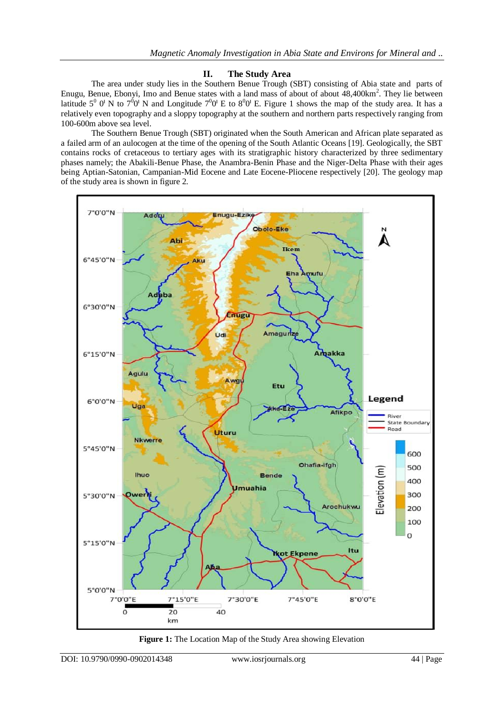## **II. The Study Area**

The area under study lies in the Southern Benue Trough (SBT) consisting of Abia state and parts of Enugu, Benue, Ebonyi, Imo and Benue states with a land mass of about of about 48,400km<sup>2</sup>. They lie between latitude  $5^0$  O<sup>I</sup> N to  $7^0$ O<sup>I</sup> N and Longitude  $7^0$ O<sup>I</sup> E to  $8^0$ O<sup>I</sup> E. Figure 1 shows the map of the study area. It has a relatively even topography and a sloppy topography at the southern and northern parts respectively ranging from 100-600m above sea level.

The Southern Benue Trough (SBT) originated when the South American and African plate separated as a failed arm of an aulocogen at the time of the opening of the South Atlantic Oceans [19]. Geologically, the SBT contains rocks of cretaceous to tertiary ages with its stratigraphic history characterized by three sedimentary phases namely; the Abakili-Benue Phase, the Anambra-Benin Phase and the Niger-Delta Phase with their ages being Aptian-Satonian, Campanian-Mid Eocene and Late Eocene-Pliocene respectively [20]. The geology map of the study area is shown in figure 2.



**Figure 1:** The Location Map of the Study Area showing Elevation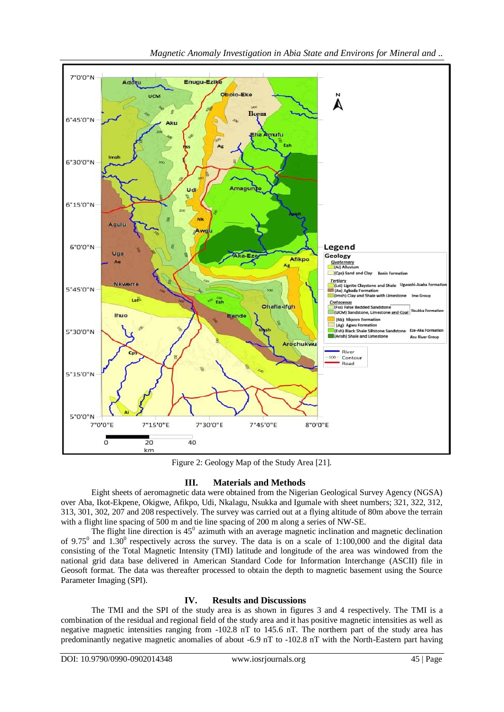

Figure 2: Geology Map of the Study Area [21].

## **III. Materials and Methods**

Eight sheets of aeromagnetic data were obtained from the Nigerian Geological Survey Agency (NGSA) over Aba, Ikot-Ekpene, Okigwe, Afikpo, Udi, Nkalagu, Nsukka and Igumale with sheet numbers; 321, 322, 312, 313, 301, 302, 207 and 208 respectively. The survey was carried out at a flying altitude of 80m above the terrain with a flight line spacing of 500 m and tie line spacing of 200 m along a series of NW-SE.

The flight line direction is  $45^\circ$  azimuth with an average magnetic inclination and magnetic declination of 9.75<sup>0</sup> and 1.30<sup>0</sup> respectively across the survey. The data is on a scale of 1:100,000 and the digital data consisting of the Total Magnetic Intensity (TMI) latitude and longitude of the area was windowed from the national grid data base delivered in American Standard Code for Information Interchange (ASCII) file in Geosoft format. The data was thereafter processed to obtain the depth to magnetic basement using the Source Parameter Imaging (SPI).

## **IV. Results and Discussions**

The TMI and the SPI of the study area is as shown in figures 3 and 4 respectively. The TMI is a combination of the residual and regional field of the study area and it has positive magnetic intensities as well as negative magnetic intensities ranging from -102.8 nT to 145.6 nT. The northern part of the study area has predominantly negative magnetic anomalies of about -6.9 nT to -102.8 nT with the North-Eastern part having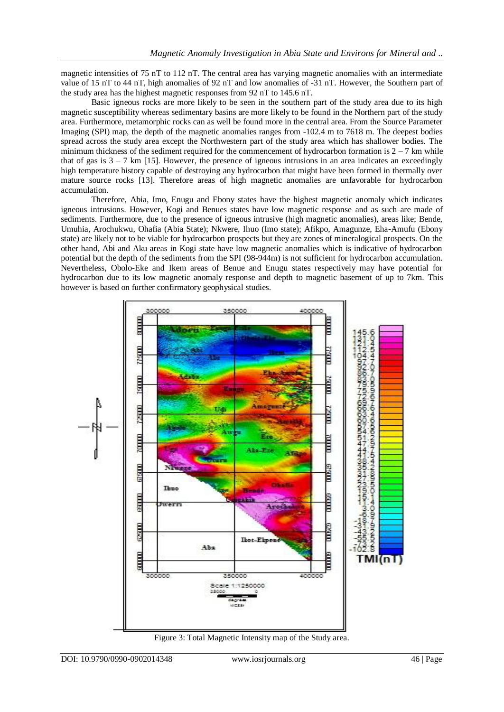magnetic intensities of 75 nT to 112 nT. The central area has varying magnetic anomalies with an intermediate value of 15 nT to 44 nT, high anomalies of 92 nT and low anomalies of -31 nT. However, the Southern part of the study area has the highest magnetic responses from 92 nT to 145.6 nT.

Basic igneous rocks are more likely to be seen in the southern part of the study area due to its high magnetic susceptibility whereas sedimentary basins are more likely to be found in the Northern part of the study area. Furthermore, metamorphic rocks can as well be found more in the central area. From the Source Parameter Imaging (SPI) map, the depth of the magnetic anomalies ranges from -102.4 m to 7618 m. The deepest bodies spread across the study area except the Northwestern part of the study area which has shallower bodies. The minimum thickness of the sediment required for the commencement of hydrocarbon formation is  $2 - 7$  km while that of gas is  $3 - 7$  km [15]. However, the presence of igneous intrusions in an area indicates an exceedingly high temperature history capable of destroying any hydrocarbon that might have been formed in thermally over mature source rocks [13]. Therefore areas of high magnetic anomalies are unfavorable for hydrocarbon accumulation.

Therefore, Abia, Imo, Enugu and Ebony states have the highest magnetic anomaly which indicates igneous intrusions. However, Kogi and Benues states have low magnetic response and as such are made of sediments. Furthermore, due to the presence of igneous intrusive (high magnetic anomalies), areas like; Bende, Umuhia, Arochukwu, Ohafia (Abia State); Nkwere, Ihuo (Imo state); Afikpo, Amagunze, Eha-Amufu (Ebony state) are likely not to be viable for hydrocarbon prospects but they are zones of mineralogical prospects. On the other hand, Abi and Aku areas in Kogi state have low magnetic anomalies which is indicative of hydrocarbon potential but the depth of the sediments from the SPI (98-944m) is not sufficient for hydrocarbon accumulation. Nevertheless, Obolo-Eke and Ikem areas of Benue and Enugu states respectively may have potential for hydrocarbon due to its low magnetic anomaly response and depth to magnetic basement of up to 7km. This however is based on further confirmatory geophysical studies.



Figure 3: Total Magnetic Intensity map of the Study area.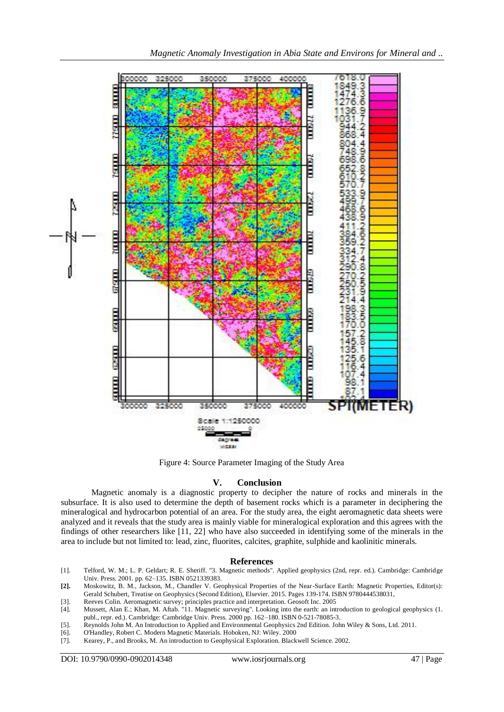

Figure 4: Source Parameter Imaging of the Study Area

## **V. Conclusion**

Magnetic anomaly is a diagnostic property to decipher the nature of rocks and minerals in the subsurface. It is also used to determine the depth of basement rocks which is a parameter in deciphering the mineralogical and hydrocarbon potential of an area. For the study area, the eight aeromagnetic data sheets were analyzed and it reveals that the study area is mainly viable for mineralogical exploration and this agrees with the findings of other researchers like [11, 22] who have also succeeded in identifying some of the minerals in the area to include but not limited to: lead, zinc, fluorites, calcites, graphite, sulphide and kaolinitic minerals.

#### **References**

[1]. Telford, W. M.; L. P. Geldart; R. E. Sheriff. "3. Magnetic methods". Applied geophysics (2nd, repr. ed.). Cambridge: Cambridge Univ. Press. 2001. pp. 62–135. ISBN 0521339383.

- [3]. Reeves Colin. Aeromagnetic survey; principles practice and interpretation. Geosoft Inc. 2005
- [4]. Mussett, Alan E.; Khan, M. Aftab. "11. Magnetic surveying". Looking into the earth: an introduction to geological geophysics (1. publ., repr. ed.). Cambridge: Cambridge Univ. Press. 2000 pp. 162–180. ISBN 0-521-78085-3.
- [5]. Reynolds John M. An Introduction to Applied and Environmental Geophysics 2nd Edition. John Wiley & Sons, Ltd. 2011.
- [6]. O'Handley, Robert C. Modern Magnetic Materials. Hoboken, NJ: Wiley. 2000
- [7]. Kearey, P., and Brooks, M. An introduction to Geophysical Exploration. Blackwell Science. 2002.

**<sup>[2].</sup>** Moskowitz, B. M., Jackson, M., Chandler V. Geophysical Properties of the Near-Surface Earth: Magnetic Properties, Editor(s): Gerald Schubert, Treatise on Geophysics (Second Edition), Elsevier. 2015. Pages 139-174. ISBN 9780444538031,